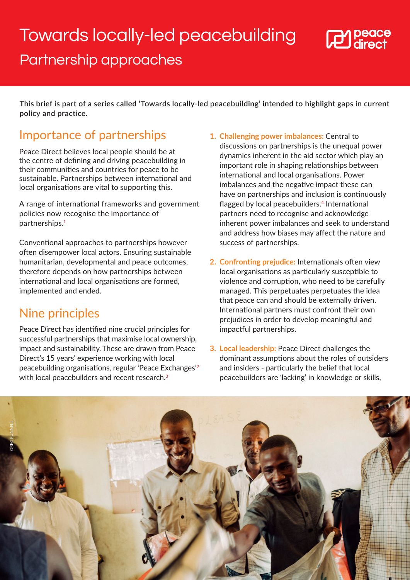## <span id="page-0-0"></span>Towards locally-led peacebuilding



## Partnership approaches

**This brief is part of a series called 'Towards locally-led peacebuilding' intended to highlight gaps in current policy and practice.**

## Importance of partnerships

Peace Direct believes local people should be at the centre of defining and driving peacebuilding in their communities and countries for peace to be sustainable. Partnerships between international and local organisations are vital to supporting this.

A range of international frameworks and government policies now recognise the importance of partnerships[.1](#page-1-0)

Conventional approaches to partnerships however often disempower local actors. Ensuring sustainable humanitarian, developmental and peace outcomes, therefore depends on how partnerships between international and local organisations are formed, implemented and ended.

## Nine principles

Peace Direct has identified nine crucial principles for successful partnerships that maximise local ownership, impact and sustainability.These are drawn from Peace Direct's 15 years' experience working with local peacebuilding organisations, regular 'Peace Exchanges'[2](#page-1-0) with local peacebuilders and recent research.<sup>[3](#page-1-0)</sup>

- **1. Challenging power imbalances:** Central to discussions on partnerships is the unequal power dynamics inherent in the aid sector which play an important role in shaping relationships between international and local organisations. Power imbalances and the negative impact these can have on partnerships and inclusion is continuously flagged by local peacebuilders.<sup>[4](#page-1-0)</sup> International partners need to recognise and acknowledge inherent power imbalances and seek to understand and address how biases may affect the nature and success of partnerships.
- **2. Confronting prejudice:** Internationals often view local organisations as particularly susceptible to violence and corruption, who need to be carefully managed. This perpetuates perpetuates the idea that peace can and should be externally driven. International partners must confront their own prejudices in order to develop meaningful and impactful partnerships.
- **3. Local leadership:** Peace Direct challenges the dominant assumptions about the roles of outsiders and insiders - particularly the belief that local peacebuilders are 'lacking' in knowledge or skills,